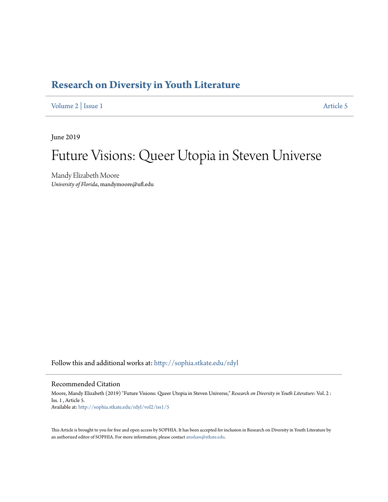## **[Research on Diversity in Youth Literature](http://sophia.stkate.edu/rdyl?utm_source=sophia.stkate.edu%2Frdyl%2Fvol2%2Fiss1%2F5&utm_medium=PDF&utm_campaign=PDFCoverPages)**

[Volume 2](http://sophia.stkate.edu/rdyl/vol2?utm_source=sophia.stkate.edu%2Frdyl%2Fvol2%2Fiss1%2F5&utm_medium=PDF&utm_campaign=PDFCoverPages) | [Issue 1](http://sophia.stkate.edu/rdyl/vol2/iss1?utm_source=sophia.stkate.edu%2Frdyl%2Fvol2%2Fiss1%2F5&utm_medium=PDF&utm_campaign=PDFCoverPages) [Article 5](http://sophia.stkate.edu/rdyl/vol2/iss1/5?utm_source=sophia.stkate.edu%2Frdyl%2Fvol2%2Fiss1%2F5&utm_medium=PDF&utm_campaign=PDFCoverPages)

June 2019

# Future Visions: Queer Utopia in Steven Universe

Mandy Elizabeth Moore *University of Florida*, mandymoore@ufl.edu

Follow this and additional works at: [http://sophia.stkate.edu/rdyl](http://sophia.stkate.edu/rdyl?utm_source=sophia.stkate.edu%2Frdyl%2Fvol2%2Fiss1%2F5&utm_medium=PDF&utm_campaign=PDFCoverPages)

#### Recommended Citation

Moore, Mandy Elizabeth (2019) "Future Visions: Queer Utopia in Steven Universe," *Research on Diversity in Youth Literature*: Vol. 2 : Iss. 1 , Article 5. Available at: [http://sophia.stkate.edu/rdyl/vol2/iss1/5](http://sophia.stkate.edu/rdyl/vol2/iss1/5?utm_source=sophia.stkate.edu%2Frdyl%2Fvol2%2Fiss1%2F5&utm_medium=PDF&utm_campaign=PDFCoverPages)

This Article is brought to you for free and open access by SOPHIA. It has been accepted for inclusion in Research on Diversity in Youth Literature by an authorized editor of SOPHIA. For more information, please contact [amshaw@stkate.edu.](mailto:amshaw@stkate.edu)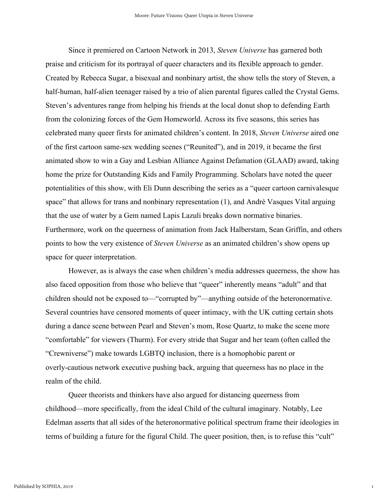Since it premiered on Cartoon Network in 2013, *Steven Universe* has garnered both praise and criticism for its portrayal of queer characters and its flexible approach to gender. Created by Rebecca Sugar, a bisexual and nonbinary artist, the show tells the story of Steven, a half-human, half-alien teenager raised by a trio of alien parental figures called the Crystal Gems. Steven's adventures range from helping his friends at the local donut shop to defending Earth from the colonizing forces of the Gem Homeworld. Across its five seasons, this series has celebrated many queer firsts for animated children's content. In 2018, *Steven Universe* aired one of the first cartoon same-sex wedding scenes ("Reunited"), and in 2019, it became the first animated show to win a Gay and Lesbian Alliance Against Defamation (GLAAD) award, taking home the prize for Outstanding Kids and Family Programming. Scholars have noted the queer potentialities of this show, with Eli Dunn describing the series as a "queer cartoon carnivalesque space" that allows for trans and nonbinary representation (1), and André Vasques Vital arguing that the use of water by a Gem named Lapis Lazuli breaks down normative binaries. Furthermore, work on the queerness of animation from Jack Halberstam, Sean Griffin, and others points to how the very existence of *Steven Universe* as an animated children's show opens up space for queer interpretation.

However, as is always the case when children's media addresses queerness, the show has also faced opposition from those who believe that "queer" inherently means "adult" and that children should not be exposed to—"corrupted by"—anything outside of the heteronormative. Several countries have censored moments of queer intimacy, with the UK cutting certain shots during a dance scene between Pearl and Steven's mom, Rose Quartz, to make the scene more "comfortable" for viewers (Thurm). For every stride that Sugar and her team (often called the "Crewniverse") make towards LGBTQ inclusion, there is a homophobic parent or overly-cautious network executive pushing back, arguing that queerness has no place in the realm of the child.

Queer theorists and thinkers have also argued for distancing queerness from childhood—more specifically, from the ideal Child of the cultural imaginary. Notably, Lee Edelman asserts that all sides of the heteronormative political spectrum frame their ideologies in terms of building a future for the figural Child. The queer position, then, is to refuse this "cult"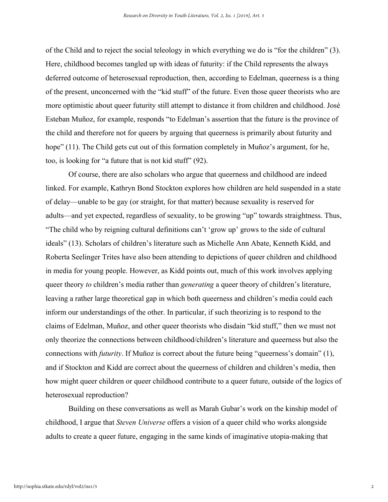of the Child and to reject the social teleology in which everything we do is "for the children" (3). Here, childhood becomes tangled up with ideas of futurity: if the Child represents the always deferred outcome of heterosexual reproduction, then, according to Edelman, queerness is a thing of the present, unconcerned with the "kid stuff" of the future. Even those queer theorists who are more optimistic about queer futurity still attempt to distance it from children and childhood. José Esteban Muñoz, for example, responds "to Edelman's assertion that the future is the province of the child and therefore not for queers by arguing that queerness is primarily about futurity and hope" (11). The Child gets cut out of this formation completely in Muñoz's argument, for he, too, is looking for "a future that is not kid stuff" (92).

Of course, there are also scholars who argue that queerness and childhood are indeed linked. For example, Kathryn Bond Stockton explores how children are held suspended in a state of delay—unable to be gay (or straight, for that matter) because sexuality is reserved for adults—and yet expected, regardless of sexuality, to be growing "up" towards straightness. Thus, "The child who by reigning cultural definitions can't 'grow up' grows to the side of cultural ideals" (13). Scholars of children's literature such as Michelle Ann Abate, Kenneth Kidd, and Roberta Seelinger Trites have also been attending to depictions of queer children and childhood in media for young people. However, as Kidd points out, much of this work involves applying queer theory *to* children's media rather than *generating* a queer theory of children's literature, leaving a rather large theoretical gap in which both queerness and children's media could each inform our understandings of the other. In particular, if such theorizing is to respond to the claims of Edelman, Muñoz, and other queer theorists who disdain "kid stuff," then we must not only theorize the connections between childhood/children's literature and queerness but also the connections with *futurity*. If Muñoz is correct about the future being "queerness's domain" (1), and if Stockton and Kidd are correct about the queerness of children and children's media, then how might queer children or queer childhood contribute to a queer future, outside of the logics of heterosexual reproduction?

Building on these conversations as well as Marah Gubar's work on the kinship model of childhood, I argue that *Steven Universe* offers a vision of a queer child who works alongside adults to create a queer future, engaging in the same kinds of imaginative utopia-making that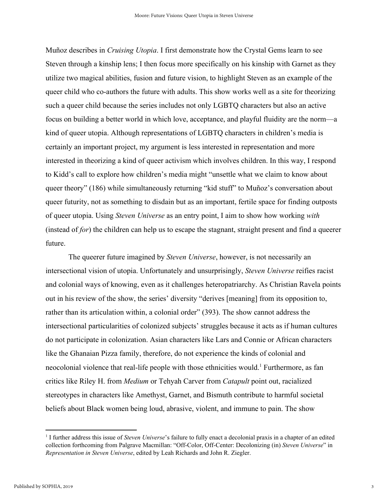Muñoz describes in *Cruising Utopia*. I first demonstrate how the Crystal Gems learn to see Steven through a kinship lens; I then focus more specifically on his kinship with Garnet as they utilize two magical abilities, fusion and future vision, to highlight Steven as an example of the queer child who co-authors the future with adults. This show works well as a site for theorizing such a queer child because the series includes not only LGBTQ characters but also an active focus on building a better world in which love, acceptance, and playful fluidity are the norm—a kind of queer utopia. Although representations of LGBTQ characters in children's media is certainly an important project, my argument is less interested in representation and more interested in theorizing a kind of queer activism which involves children. In this way, I respond to Kidd's call to explore how children's media might "unsettle what we claim to know about queer theory" (186) while simultaneously returning "kid stuff" to Muñoz's conversation about queer futurity, not as something to disdain but as an important, fertile space for finding outposts of queer utopia. Using *Steven Universe* as an entry point, I aim to show how working *with* (instead of *for*) the children can help us to escape the stagnant, straight present and find a queerer future.

The queerer future imagined by *Steven Universe*, however, is not necessarily an intersectional vision of utopia. Unfortunately and unsurprisingly, *Steven Universe* reifies racist and colonial ways of knowing, even as it challenges heteropatriarchy. As Christian Ravela points out in his review of the show, the series' diversity "derives [meaning] from its opposition to, rather than its articulation within, a colonial order" (393). The show cannot address the intersectional particularities of colonized subjects' struggles because it acts as if human cultures do not participate in colonization. Asian characters like Lars and Connie or African characters like the Ghanaian Pizza family, therefore, do not experience the kinds of colonial and neocolonial violence that real-life people with those ethnicities would.<sup>1</sup> Furthermore, as fan critics like Riley H. from *Medium* or Tehyah Carver from *Catapult* point out, racialized stereotypes in characters like Amethyst, Garnet, and Bismuth contribute to harmful societal beliefs about Black women being loud, abrasive, violent, and immune to pain. The show

<sup>1</sup> I further address this issue of *Steven Universe*'s failure to fully enact a decolonial praxis in a chapter of an edited collection forthcoming from Palgrave Macmillan: "Off-Color, Off-Center: Decolonizing (in) *Steven Universe*" in *Representation in Steven Universe*, edited by Leah Richards and John R. Ziegler.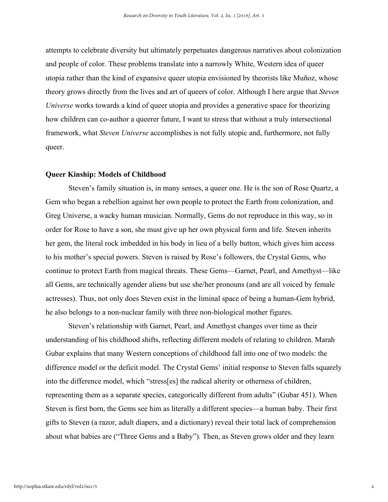attempts to celebrate diversity but ultimately perpetuates dangerous narratives about colonization and people of color. These problems translate into a narrowly White, Western idea of queer utopia rather than the kind of expansive queer utopia envisioned by theorists like Muñoz, whose theory grows directly from the lives and art of queers of color. Although I here argue that *Steven Universe* works towards a kind of queer utopia and provides a generative space for theorizing how children can co-author a queerer future, I want to stress that without a truly intersectional framework, what *Steven Universe* accomplishes is not fully utopic and, furthermore, not fully queer.

#### **Queer Kinship: Models of Childhood**

Steven's family situation is, in many senses, a queer one. He is the son of Rose Quartz, a Gem who began a rebellion against her own people to protect the Earth from colonization, and Greg Universe, a wacky human musician. Normally, Gems do not reproduce in this way, so in order for Rose to have a son, she must give up her own physical form and life. Steven inherits her gem, the literal rock imbedded in his body in lieu of a belly button, which gives him access to his mother's special powers. Steven is raised by Rose's followers, the Crystal Gems, who continue to protect Earth from magical threats. These Gems—Garnet, Pearl, and Amethyst—like all Gems, are technically agender aliens but use she/her pronouns (and are all voiced by female actresses). Thus, not only does Steven exist in the liminal space of being a human-Gem hybrid, he also belongs to a non-nuclear family with three non-biological mother figures.

Steven's relationship with Garnet, Pearl, and Amethyst changes over time as their understanding of his childhood shifts, reflecting different models of relating to children. Marah Gubar explains that many Western conceptions of childhood fall into one of two models: the difference model or the deficit model. The Crystal Gems' initial response to Steven falls squarely into the difference model, which "stress[es] the radical alterity or otherness of children, representing them as a separate species, categorically different from adults" (Gubar 451). When Steven is first born, the Gems see him as literally a different species—a human baby. Their first gifts to Steven (a razor, adult diapers, and a dictionary) reveal their total lack of comprehension about what babies are ("Three Gems and a Baby"). Then, as Steven grows older and they learn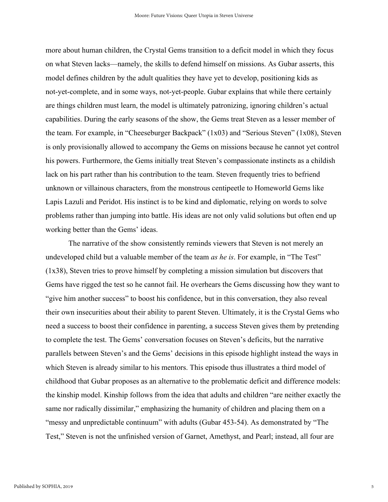more about human children, the Crystal Gems transition to a deficit model in which they focus on what Steven lacks—namely, the skills to defend himself on missions. As Gubar asserts, this model defines children by the adult qualities they have yet to develop, positioning kids as not-yet-complete, and in some ways, not-yet-people. Gubar explains that while there certainly are things children must learn, the model is ultimately patronizing, ignoring children's actual capabilities. During the early seasons of the show, the Gems treat Steven as a lesser member of the team. For example, in "Cheeseburger Backpack" (1x03) and "Serious Steven" (1x08), Steven is only provisionally allowed to accompany the Gems on missions because he cannot yet control his powers. Furthermore, the Gems initially treat Steven's compassionate instincts as a childish lack on his part rather than his contribution to the team. Steven frequently tries to befriend unknown or villainous characters, from the monstrous centipeetle to Homeworld Gems like Lapis Lazuli and Peridot. His instinct is to be kind and diplomatic, relying on words to solve problems rather than jumping into battle. His ideas are not only valid solutions but often end up working better than the Gems' ideas.

The narrative of the show consistently reminds viewers that Steven is not merely an undeveloped child but a valuable member of the team *as he is*. For example, in "The Test" (1x38), Steven tries to prove himself by completing a mission simulation but discovers that Gems have rigged the test so he cannot fail. He overhears the Gems discussing how they want to "give him another success" to boost his confidence, but in this conversation, they also reveal their own insecurities about their ability to parent Steven. Ultimately, it is the Crystal Gems who need a success to boost their confidence in parenting, a success Steven gives them by pretending to complete the test. The Gems' conversation focuses on Steven's deficits, but the narrative parallels between Steven's and the Gems' decisions in this episode highlight instead the ways in which Steven is already similar to his mentors. This episode thus illustrates a third model of childhood that Gubar proposes as an alternative to the problematic deficit and difference models: the kinship model. Kinship follows from the idea that adults and children "are neither exactly the same nor radically dissimilar," emphasizing the humanity of children and placing them on a "messy and unpredictable continuum" with adults (Gubar 453-54). As demonstrated by "The Test," Steven is not the unfinished version of Garnet, Amethyst, and Pearl; instead, all four are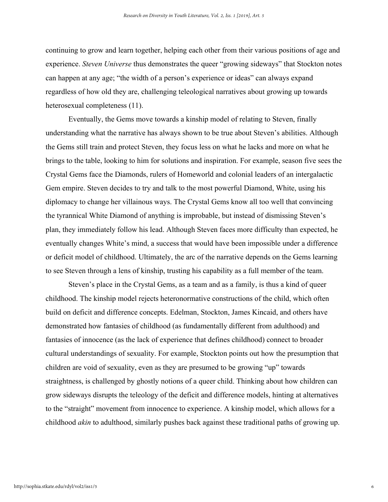continuing to grow and learn together, helping each other from their various positions of age and experience. *Steven Universe* thus demonstrates the queer "growing sideways" that Stockton notes can happen at any age; "the width of a person's experience or ideas" can always expand regardless of how old they are, challenging teleological narratives about growing up towards heterosexual completeness (11).

Eventually, the Gems move towards a kinship model of relating to Steven, finally understanding what the narrative has always shown to be true about Steven's abilities. Although the Gems still train and protect Steven, they focus less on what he lacks and more on what he brings to the table, looking to him for solutions and inspiration. For example, season five sees the Crystal Gems face the Diamonds, rulers of Homeworld and colonial leaders of an intergalactic Gem empire. Steven decides to try and talk to the most powerful Diamond, White, using his diplomacy to change her villainous ways. The Crystal Gems know all too well that convincing the tyrannical White Diamond of anything is improbable, but instead of dismissing Steven's plan, they immediately follow his lead. Although Steven faces more difficulty than expected, he eventually changes White's mind, a success that would have been impossible under a difference or deficit model of childhood. Ultimately, the arc of the narrative depends on the Gems learning to see Steven through a lens of kinship, trusting his capability as a full member of the team.

Steven's place in the Crystal Gems, as a team and as a family, is thus a kind of queer childhood. The kinship model rejects heteronormative constructions of the child, which often build on deficit and difference concepts. Edelman, Stockton, James Kincaid, and others have demonstrated how fantasies of childhood (as fundamentally different from adulthood) and fantasies of innocence (as the lack of experience that defines childhood) connect to broader cultural understandings of sexuality. For example, Stockton points out how the presumption that children are void of sexuality, even as they are presumed to be growing "up" towards straightness, is challenged by ghostly notions of a queer child. Thinking about how children can grow sideways disrupts the teleology of the deficit and difference models, hinting at alternatives to the "straight" movement from innocence to experience. A kinship model, which allows for a childhood *akin* to adulthood, similarly pushes back against these traditional paths of growing up.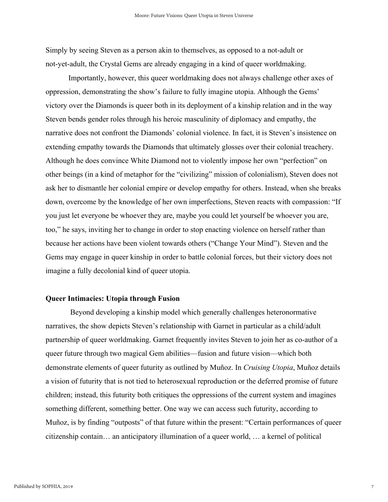Simply by seeing Steven as a person akin to themselves, as opposed to a not-adult or not-yet-adult, the Crystal Gems are already engaging in a kind of queer worldmaking.

Importantly, however, this queer worldmaking does not always challenge other axes of oppression, demonstrating the show's failure to fully imagine utopia. Although the Gems' victory over the Diamonds is queer both in its deployment of a kinship relation and in the way Steven bends gender roles through his heroic masculinity of diplomacy and empathy, the narrative does not confront the Diamonds' colonial violence. In fact, it is Steven's insistence on extending empathy towards the Diamonds that ultimately glosses over their colonial treachery. Although he does convince White Diamond not to violently impose her own "perfection" on other beings (in a kind of metaphor for the "civilizing" mission of colonialism), Steven does not ask her to dismantle her colonial empire or develop empathy for others. Instead, when she breaks down, overcome by the knowledge of her own imperfections, Steven reacts with compassion: "If you just let everyone be whoever they are, maybe you could let yourself be whoever you are, too," he says, inviting her to change in order to stop enacting violence on herself rather than because her actions have been violent towards others ("Change Your Mind"). Steven and the Gems may engage in queer kinship in order to battle colonial forces, but their victory does not imagine a fully decolonial kind of queer utopia.

#### **Queer Intimacies: Utopia through Fusion**

 Beyond developing a kinship model which generally challenges heteronormative narratives, the show depicts Steven's relationship with Garnet in particular as a child/adult partnership of queer worldmaking. Garnet frequently invites Steven to join her as co-author of a queer future through two magical Gem abilities—fusion and future vision—which both demonstrate elements of queer futurity as outlined by Muñoz. In *Cruising Utopia*, Muñoz details a vision of futurity that is not tied to heterosexual reproduction or the deferred promise of future children; instead, this futurity both critiques the oppressions of the current system and imagines something different, something better. One way we can access such futurity, according to Muñoz, is by finding "outposts" of that future within the present: "Certain performances of queer citizenship contain… an anticipatory illumination of a queer world, … a kernel of political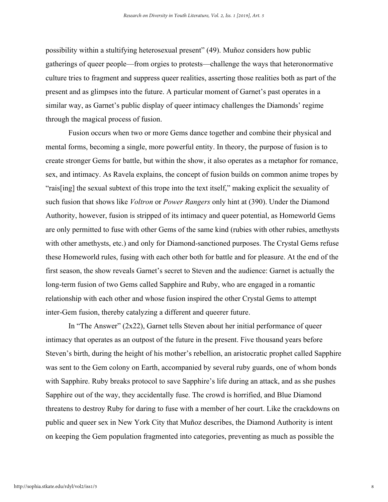possibility within a stultifying heterosexual present" (49). Muñoz considers how public gatherings of queer people—from orgies to protests—challenge the ways that heteronormative culture tries to fragment and suppress queer realities, asserting those realities both as part of the present and as glimpses into the future. A particular moment of Garnet's past operates in a similar way, as Garnet's public display of queer intimacy challenges the Diamonds' regime through the magical process of fusion.

Fusion occurs when two or more Gems dance together and combine their physical and mental forms, becoming a single, more powerful entity. In theory, the purpose of fusion is to create stronger Gems for battle, but within the show, it also operates as a metaphor for romance, sex, and intimacy. As Ravela explains, the concept of fusion builds on common anime tropes by "rais[ing] the sexual subtext of this trope into the text itself," making explicit the sexuality of such fusion that shows like *Voltron* or *Power Rangers* only hint at (390). Under the Diamond Authority, however, fusion is stripped of its intimacy and queer potential, as Homeworld Gems are only permitted to fuse with other Gems of the same kind (rubies with other rubies, amethysts with other amethysts, etc.) and only for Diamond-sanctioned purposes. The Crystal Gems refuse these Homeworld rules, fusing with each other both for battle and for pleasure. At the end of the first season, the show reveals Garnet's secret to Steven and the audience: Garnet is actually the long-term fusion of two Gems called Sapphire and Ruby, who are engaged in a romantic relationship with each other and whose fusion inspired the other Crystal Gems to attempt inter-Gem fusion, thereby catalyzing a different and queerer future.

In "The Answer" (2x22), Garnet tells Steven about her initial performance of queer intimacy that operates as an outpost of the future in the present. Five thousand years before Steven's birth, during the height of his mother's rebellion, an aristocratic prophet called Sapphire was sent to the Gem colony on Earth, accompanied by several ruby guards, one of whom bonds with Sapphire. Ruby breaks protocol to save Sapphire's life during an attack, and as she pushes Sapphire out of the way, they accidentally fuse. The crowd is horrified, and Blue Diamond threatens to destroy Ruby for daring to fuse with a member of her court. Like the crackdowns on public and queer sex in New York City that Muñoz describes, the Diamond Authority is intent on keeping the Gem population fragmented into categories, preventing as much as possible the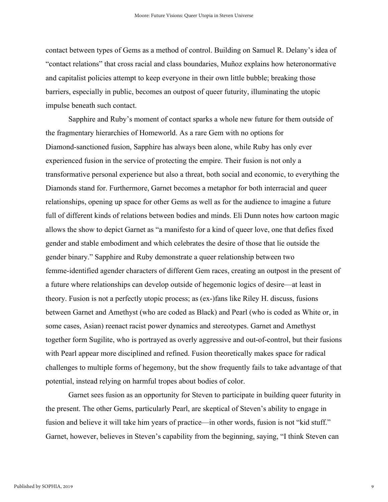contact between types of Gems as a method of control. Building on Samuel R. Delany's idea of "contact relations" that cross racial and class boundaries, Muñoz explains how heteronormative and capitalist policies attempt to keep everyone in their own little bubble; breaking those barriers, especially in public, becomes an outpost of queer futurity, illuminating the utopic impulse beneath such contact.

Sapphire and Ruby's moment of contact sparks a whole new future for them outside of the fragmentary hierarchies of Homeworld. As a rare Gem with no options for Diamond-sanctioned fusion, Sapphire has always been alone, while Ruby has only ever experienced fusion in the service of protecting the empire. Their fusion is not only a transformative personal experience but also a threat, both social and economic, to everything the Diamonds stand for. Furthermore, Garnet becomes a metaphor for both interracial and queer relationships, opening up space for other Gems as well as for the audience to imagine a future full of different kinds of relations between bodies and minds. Eli Dunn notes how cartoon magic allows the show to depict Garnet as "a manifesto for a kind of queer love, one that defies fixed gender and stable embodiment and which celebrates the desire of those that lie outside the gender binary." Sapphire and Ruby demonstrate a queer relationship between two femme-identified agender characters of different Gem races, creating an outpost in the present of a future where relationships can develop outside of hegemonic logics of desire—at least in theory. Fusion is not a perfectly utopic process; as (ex-)fans like Riley H. discuss, fusions between Garnet and Amethyst (who are coded as Black) and Pearl (who is coded as White or, in some cases, Asian) reenact racist power dynamics and stereotypes. Garnet and Amethyst together form Sugilite, who is portrayed as overly aggressive and out-of-control, but their fusions with Pearl appear more disciplined and refined. Fusion theoretically makes space for radical challenges to multiple forms of hegemony, but the show frequently fails to take advantage of that potential, instead relying on harmful tropes about bodies of color.

Garnet sees fusion as an opportunity for Steven to participate in building queer futurity in the present. The other Gems, particularly Pearl, are skeptical of Steven's ability to engage in fusion and believe it will take him years of practice—in other words, fusion is not "kid stuff." Garnet, however, believes in Steven's capability from the beginning, saying, "I think Steven can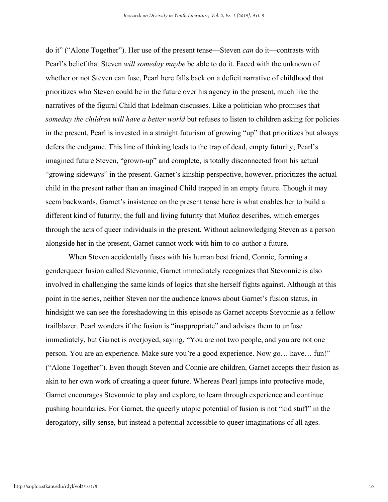do it" ("Alone Together"). Her use of the present tense—Steven *can* do it—contrasts with Pearl's belief that Steven *will someday maybe* be able to do it. Faced with the unknown of whether or not Steven can fuse, Pearl here falls back on a deficit narrative of childhood that prioritizes who Steven could be in the future over his agency in the present, much like the narratives of the figural Child that Edelman discusses. Like a politician who promises that *someday the children will have a better world* but refuses to listen to children asking for policies in the present, Pearl is invested in a straight futurism of growing "up" that prioritizes but always defers the endgame. This line of thinking leads to the trap of dead, empty futurity; Pearl's imagined future Steven, "grown-up" and complete, is totally disconnected from his actual "growing sideways" in the present. Garnet's kinship perspective, however, prioritizes the actual child in the present rather than an imagined Child trapped in an empty future. Though it may seem backwards, Garnet's insistence on the present tense here is what enables her to build a different kind of futurity, the full and living futurity that Muñoz describes, which emerges through the acts of queer individuals in the present. Without acknowledging Steven as a person alongside her in the present, Garnet cannot work with him to co-author a future.

When Steven accidentally fuses with his human best friend, Connie, forming a genderqueer fusion called Stevonnie, Garnet immediately recognizes that Stevonnie is also involved in challenging the same kinds of logics that she herself fights against. Although at this point in the series, neither Steven nor the audience knows about Garnet's fusion status, in hindsight we can see the foreshadowing in this episode as Garnet accepts Stevonnie as a fellow trailblazer. Pearl wonders if the fusion is "inappropriate" and advises them to unfuse immediately, but Garnet is overjoyed, saying, "You are not two people, and you are not one person. You are an experience. Make sure you're a good experience. Now go… have… fun!" ("Alone Together"). Even though Steven and Connie are children, Garnet accepts their fusion as akin to her own work of creating a queer future. Whereas Pearl jumps into protective mode, Garnet encourages Stevonnie to play and explore, to learn through experience and continue pushing boundaries. For Garnet, the queerly utopic potential of fusion is not "kid stuff" in the derogatory, silly sense, but instead a potential accessible to queer imaginations of all ages.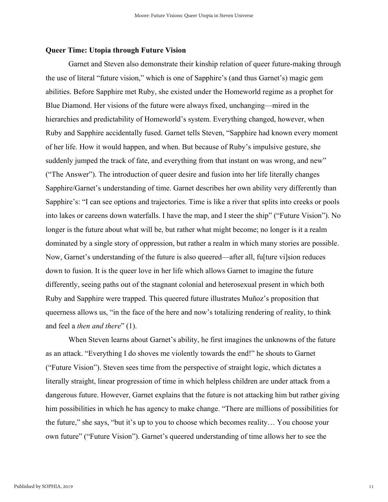#### **Queer Time: Utopia through Future Vision**

Garnet and Steven also demonstrate their kinship relation of queer future-making through the use of literal "future vision," which is one of Sapphire's (and thus Garnet's) magic gem abilities. Before Sapphire met Ruby, she existed under the Homeworld regime as a prophet for Blue Diamond. Her visions of the future were always fixed, unchanging—mired in the hierarchies and predictability of Homeworld's system. Everything changed, however, when Ruby and Sapphire accidentally fused. Garnet tells Steven, "Sapphire had known every moment of her life. How it would happen, and when. But because of Ruby's impulsive gesture, she suddenly jumped the track of fate, and everything from that instant on was wrong, and new" ("The Answer"). The introduction of queer desire and fusion into her life literally changes Sapphire/Garnet's understanding of time. Garnet describes her own ability very differently than Sapphire's: "I can see options and trajectories. Time is like a river that splits into creeks or pools into lakes or careens down waterfalls. I have the map, and I steer the ship" ("Future Vision"). No longer is the future about what will be, but rather what might become; no longer is it a realm dominated by a single story of oppression, but rather a realm in which many stories are possible. Now, Garnet's understanding of the future is also queered—after all, fu[ture vi]sion reduces down to fusion. It is the queer love in her life which allows Garnet to imagine the future differently, seeing paths out of the stagnant colonial and heterosexual present in which both Ruby and Sapphire were trapped. This queered future illustrates Muñoz's proposition that queerness allows us, "in the face of the here and now's totalizing rendering of reality, to think and feel a *then and there*" (1).

When Steven learns about Garnet's ability, he first imagines the unknowns of the future as an attack. "Everything I do shoves me violently towards the end!" he shouts to Garnet ("Future Vision"). Steven sees time from the perspective of straight logic, which dictates a literally straight, linear progression of time in which helpless children are under attack from a dangerous future. However, Garnet explains that the future is not attacking him but rather giving him possibilities in which he has agency to make change. "There are millions of possibilities for the future," she says, "but it's up to you to choose which becomes reality… You choose your own future" ("Future Vision"). Garnet's queered understanding of time allows her to see the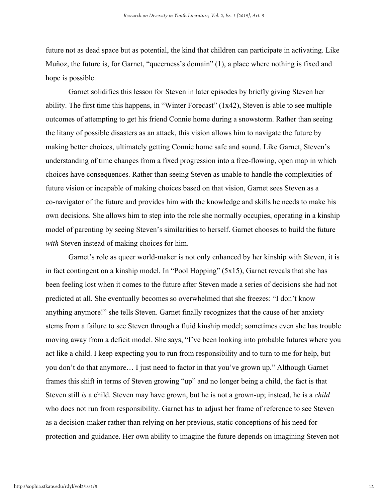future not as dead space but as potential, the kind that children can participate in activating. Like Muñoz, the future is, for Garnet, "queerness's domain" (1), a place where nothing is fixed and hope is possible.

Garnet solidifies this lesson for Steven in later episodes by briefly giving Steven her ability. The first time this happens, in "Winter Forecast" (1x42), Steven is able to see multiple outcomes of attempting to get his friend Connie home during a snowstorm. Rather than seeing the litany of possible disasters as an attack, this vision allows him to navigate the future by making better choices, ultimately getting Connie home safe and sound. Like Garnet, Steven's understanding of time changes from a fixed progression into a free-flowing, open map in which choices have consequences. Rather than seeing Steven as unable to handle the complexities of future vision or incapable of making choices based on that vision, Garnet sees Steven as a co-navigator of the future and provides him with the knowledge and skills he needs to make his own decisions. She allows him to step into the role she normally occupies, operating in a kinship model of parenting by seeing Steven's similarities to herself. Garnet chooses to build the future *with* Steven instead of making choices for him.

Garnet's role as queer world-maker is not only enhanced by her kinship with Steven, it is in fact contingent on a kinship model. In "Pool Hopping" (5x15), Garnet reveals that she has been feeling lost when it comes to the future after Steven made a series of decisions she had not predicted at all. She eventually becomes so overwhelmed that she freezes: "I don't know anything anymore!" she tells Steven. Garnet finally recognizes that the cause of her anxiety stems from a failure to see Steven through a fluid kinship model; sometimes even she has trouble moving away from a deficit model. She says, "I've been looking into probable futures where you act like a child. I keep expecting you to run from responsibility and to turn to me for help, but you don't do that anymore… I just need to factor in that you've grown up." Although Garnet frames this shift in terms of Steven growing "up" and no longer being a child, the fact is that Steven still *is* a child. Steven may have grown, but he is not a grown-up; instead, he is a *child* who does not run from responsibility. Garnet has to adjust her frame of reference to see Steven as a decision-maker rather than relying on her previous, static conceptions of his need for protection and guidance. Her own ability to imagine the future depends on imagining Steven not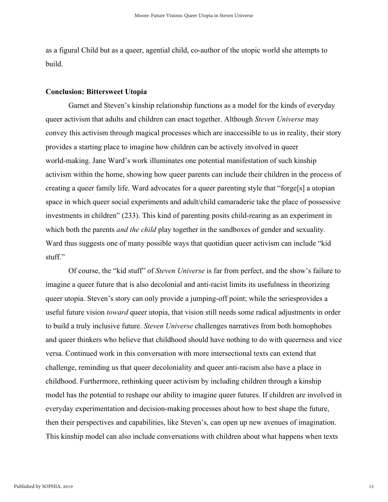as a figural Child but as a queer, agential child, co-author of the utopic world she attempts to build.

#### **Conclusion: Bittersweet Utopia**

Garnet and Steven's kinship relationship functions as a model for the kinds of everyday queer activism that adults and children can enact together. Although *Steven Universe* may convey this activism through magical processes which are inaccessible to us in reality, their story provides a starting place to imagine how children can be actively involved in queer world-making. Jane Ward's work illuminates one potential manifestation of such kinship activism within the home, showing how queer parents can include their children in the process of creating a queer family life. Ward advocates for a queer parenting style that "forge[s] a utopian space in which queer social experiments and adult/child camaraderie take the place of possessive investments in children" (233). This kind of parenting posits child-rearing as an experiment in which both the parents *and the child* play together in the sandboxes of gender and sexuality. Ward thus suggests one of many possible ways that quotidian queer activism can include "kid stuff."

Of course, the "kid stuff" of *Steven Universe* is far from perfect, and the show's failure to imagine a queer future that is also decolonial and anti-racist limits its usefulness in theorizing queer utopia. Steven's story can only provide a jumping-off point; while the seriesprovides a useful future vision *toward* queer utopia, that vision still needs some radical adjustments in order to build a truly inclusive future. *Steven Universe* challenges narratives from both homophobes and queer thinkers who believe that childhood should have nothing to do with queerness and vice versa. Continued work in this conversation with more intersectional texts can extend that challenge, reminding us that queer decoloniality and queer anti-racism also have a place in childhood. Furthermore, rethinking queer activism by including children through a kinship model has the potential to reshape our ability to imagine queer futures. If children are involved in everyday experimentation and decision-making processes about how to best shape the future, then their perspectives and capabilities, like Steven's, can open up new avenues of imagination. This kinship model can also include conversations with children about what happens when texts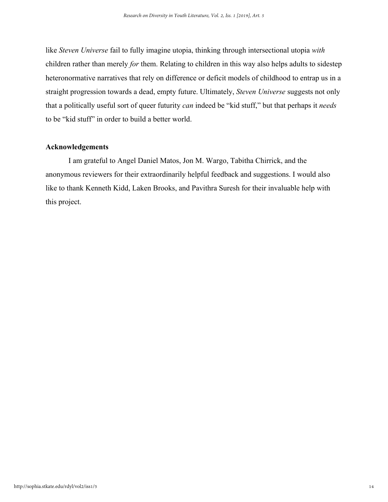like *Steven Universe* fail to fully imagine utopia, thinking through intersectional utopia *with* children rather than merely *for* them. Relating to children in this way also helps adults to sidestep heteronormative narratives that rely on difference or deficit models of childhood to entrap us in a straight progression towards a dead, empty future. Ultimately, *Steven Universe* suggests not only that a politically useful sort of queer futurity *can* indeed be "kid stuff," but that perhaps it *needs* to be "kid stuff" in order to build a better world.

### **Acknowledgements**

I am grateful to Angel Daniel Matos, Jon M. Wargo, Tabitha Chirrick, and the anonymous reviewers for their extraordinarily helpful feedback and suggestions. I would also like to thank Kenneth Kidd, Laken Brooks, and Pavithra Suresh for their invaluable help with this project.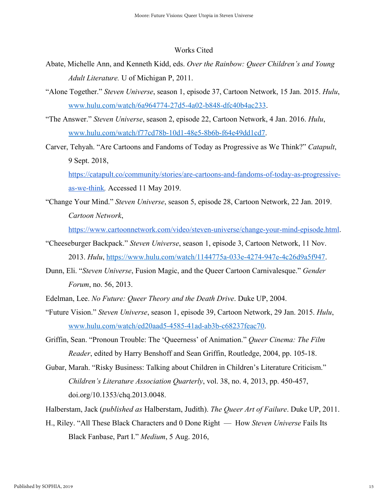#### Works Cited

- Abate, Michelle Ann, and Kenneth Kidd, eds. *Over the Rainbow: Queer Children's and Young Adult Literature.* U of Michigan P, 2011.
- "Alone Together." *Steven Universe*, season 1, episode 37, Cartoon Network, 15 Jan. 2015. *Hulu*, [www.hulu.com/watch/6a964774-27d5-4a02-b848-dfc40b4ac233.](http://www.hulu.com/watch/6a964774-27d5-4a02-b848-dfc40b4ac233)
- "The Answer." *Steven Universe*, season 2, episode 22, Cartoon Network, 4 Jan. 2016. *Hulu*, [www.hulu.com/watch/f77cd78b-10d1-48e5-8b6b-f64e49dd1cd7](http://www.hulu.com/watch/f77cd78b-10d1-48e5-8b6b-f64e49dd1cd7).
- Carver, Tehyah. "Are Cartoons and Fandoms of Today as Progressive as We Think?" *Catapult*, 9 Sept. 2018,

[https://catapult.co/community/stories/are-cartoons-and-fandoms-of-today-as-progressive](https://catapult.co/community/stories/are-cartoons-and-fandoms-of-today-as-progressive-as-we-think)[as-we-think](https://catapult.co/community/stories/are-cartoons-and-fandoms-of-today-as-progressive-as-we-think)*.* Accessed 11 May 2019.

"Change Your Mind." *Steven Universe*, season 5, episode 28, Cartoon Network, 22 Jan. 2019. *Cartoon Network*,

[https://www.cartoonnetwork.com/video/steven-universe/change-your-mind-episode.html.](https://www.cartoonnetwork.com/video/steven-universe/change-your-mind-episode.html)

- "Cheeseburger Backpack." *Steven Universe*, season 1, episode 3, Cartoon Network, 11 Nov. 2013. *Hulu*, <https://www.hulu.com/watch/1144775a-033e-4274-947e-4c26d9a5f947>.
- Dunn, Eli. "*Steven Universe*, Fusion Magic, and the Queer Cartoon Carnivalesque." *Gender Forum*, no. 56, 2013.
- Edelman, Lee. *No Future: Queer Theory and the Death Drive*. Duke UP, 2004.
- "Future Vision." *Steven Universe*, season 1, episode 39, Cartoon Network, 29 Jan. 2015. *Hulu*, [www.hulu.com/watch/ed20aad5-4585-41ad-ab3b-c68237feac70](http://www.hulu.com/watch/ed20aad5-4585-41ad-ab3b-c68237feac70).
- Griffin, Sean. "Pronoun Trouble: The 'Queerness' of Animation." *Queer Cinema: The Film Reader*, edited by Harry Benshoff and Sean Griffin, Routledge, 2004, pp. 105-18.
- Gubar, Marah. "Risky Business: Talking about Children in Children's Literature Criticism." *Children's Literature Association Quarterly*, vol. 38, no. 4, 2013, pp. 450-457, doi.org/10.1353/chq.2013.0048.

Halberstam, Jack (*published as* Halberstam, Judith). *The Queer Art of Failure*. Duke UP, 2011.

H., Riley. "All These Black Characters and 0 Done Right — How *Steven Universe* Fails Its Black Fanbase, Part I." *Medium*, 5 Aug. 2016,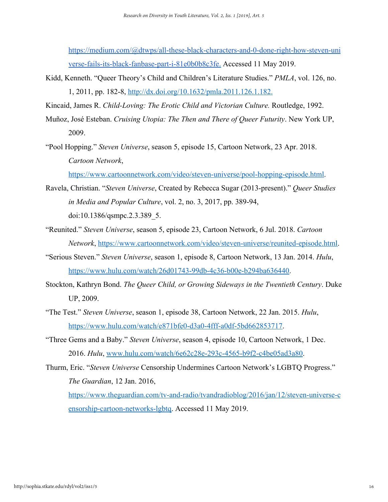[https://medium.com/@dtwps/all-these-black-characters-and-0-done-right-how-steven-uni](https://medium.com/@dtwps/all-these-black-characters-and-0-done-right-how-steven-universe-fails-its-black-fanbase-part-i-81e0b0b8c3fe) [verse-fails-its-black-fanbase-part-i-81e0b0b8c3fe.](https://medium.com/@dtwps/all-these-black-characters-and-0-done-right-how-steven-universe-fails-its-black-fanbase-part-i-81e0b0b8c3fe) Accessed 11 May 2019.

- Kidd, Kenneth. "Queer Theory's Child and Children's Literature Studies." *PMLA*, vol. 126, no. 1, 2011, pp. 182-8, [http://dx.doi.org/10.1632/pmla.2011.126.1.182.](http://dx.doi.org/10.1632/pmla.2011.126.1.182)
- Kincaid, James R. *Child-Loving: The Erotic Child and Victorian Culture.* Routledge, 1992.
- Muñoz, José Esteban. *Cruising Utopia: The Then and There of Queer Futurity*. New York UP, 2009.
- "Pool Hopping." *Steven Universe*, season 5, episode 15, Cartoon Network, 23 Apr. 2018. *Cartoon Network*,

[https://www.cartoonnetwork.com/video/steven-universe/pool-hopping-episode.html.](https://www.cartoonnetwork.com/video/steven-universe/pool-hopping-episode.html)

- Ravela, Christian. "*Steven Universe*, Created by Rebecca Sugar (2013-present)." *Queer Studies in Media and Popular Culture*, vol. 2, no. 3, 2017, pp. 389-94, doi:10.1386/qsmpc.2.3.389\_5.
- "Reunited." *Steven Universe*, season 5, episode 23, Cartoon Network, 6 Jul. 2018. *Cartoon Network*, [https://www.cartoonnetwork.com/video/steven-universe/reunited-episode.html.](https://www.cartoonnetwork.com/video/steven-universe/reunited-episode.html)
- "Serious Steven." *Steven Universe*, season 1, episode 8, Cartoon Network, 13 Jan. 2014. *Hulu*, [https://www.hulu.com/watch/26d01743-99db-4c36-b00e-b294ba636440.](https://www.hulu.com/watch/26d01743-99db-4c36-b00e-b294ba636440)
- Stockton, Kathryn Bond. *The Queer Child, or Growing Sideways in the Twentieth Century*. Duke UP, 2009.
- "The Test." *Steven Universe*, season 1, episode 38, Cartoon Network, 22 Jan. 2015. *Hulu*, [https://www.hulu.com/watch/e871bfe0-d3a0-4fff-a0df-5bd662853717.](https://www.hulu.com/watch/e871bfe0-d3a0-4fff-a0df-5bd662853717)
- "Three Gems and a Baby." *Steven Universe*, season 4, episode 10, Cartoon Network, 1 Dec. 2016. *Hulu*, [www.hulu.com/watch/6e62c28e-293c-4565-b9f2-c4be05ad3a80.](http://www.hulu.com/watch/6e62c28e-293c-4565-b9f2-c4be05ad3a80)
- Thurm, Eric. "*Steven Universe* Censorship Undermines Cartoon Network's LGBTQ Progress." *The Guardian*, 12 Jan. 2016,

[https://www.theguardian.com/tv-and-radio/tvandradioblog/2016/jan/12/steven-universe-c](https://www.theguardian.com/tv-and-radio/tvandradioblog/2016/jan/12/steven-universe-censorship-cartoon-networks-lgbtq) [ensorship-cartoon-networks-lgbtq.](https://www.theguardian.com/tv-and-radio/tvandradioblog/2016/jan/12/steven-universe-censorship-cartoon-networks-lgbtq) Accessed 11 May 2019.